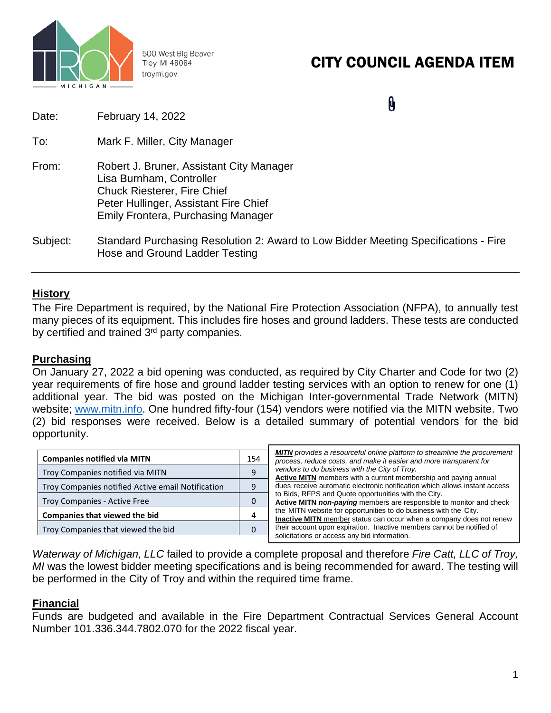

500 West Big Beaver Troy, MI 48084 troymi.gov

# CITY COUNCIL AGENDA ITEM

 $\mathbf{0}$ 

| Date:    | February 14, 2022                                                                                                                                                                                |
|----------|--------------------------------------------------------------------------------------------------------------------------------------------------------------------------------------------------|
| To:      | Mark F. Miller, City Manager                                                                                                                                                                     |
| From:    | Robert J. Bruner, Assistant City Manager<br>Lisa Burnham, Controller<br><b>Chuck Riesterer, Fire Chief</b><br>Peter Hullinger, Assistant Fire Chief<br><b>Emily Frontera, Purchasing Manager</b> |
| Subject: | Standard Purchasing Resolution 2: Award to Low Bidder Meeting Specifications - Fire<br>Hose and Ground Ladder Testing                                                                            |

## **History**

The Fire Department is required, by the National Fire Protection Association (NFPA), to annually test many pieces of its equipment. This includes fire hoses and ground ladders. These tests are conducted by certified and trained 3<sup>rd</sup> party companies.

## **Purchasing**

On January 27, 2022 a bid opening was conducted, as required by City Charter and Code for two (2) year requirements of fire hose and ground ladder testing services with an option to renew for one (1) additional year. The bid was posted on the Michigan Inter-governmental Trade Network (MITN) website; [www.mitn.info.](http://www.mitn.info/) One hundred fifty-four (154) vendors were notified via the MITN website. Two (2) bid responses were received. Below is a detailed summary of potential vendors for the bid opportunity.

| <b>Companies notified via MITN</b><br>Troy Companies notified via MITN<br>Troy Companies notified Active email Notification |  | <b>MITN</b> provides a resourceful online platform to streamline the procurement<br>process, reduce costs, and make it easier and more transparent for<br>vendors to do business with the City of Troy.<br>Active MITN members with a current membership and paying annual<br>dues receive automatic electronic notification which allows instant access<br>to Bids, RFPS and Quote opportunities with the City.<br>Active MITN non-paying members are responsible to monitor and check<br>the MITN website for opportunities to do business with the City.<br><b>Inactive MITN</b> member status can occur when a company does not renew |  |  |  |                                                                     |  |
|-----------------------------------------------------------------------------------------------------------------------------|--|-------------------------------------------------------------------------------------------------------------------------------------------------------------------------------------------------------------------------------------------------------------------------------------------------------------------------------------------------------------------------------------------------------------------------------------------------------------------------------------------------------------------------------------------------------------------------------------------------------------------------------------------|--|--|--|---------------------------------------------------------------------|--|
|                                                                                                                             |  |                                                                                                                                                                                                                                                                                                                                                                                                                                                                                                                                                                                                                                           |  |  |  | Troy Companies - Active Free                                        |  |
|                                                                                                                             |  |                                                                                                                                                                                                                                                                                                                                                                                                                                                                                                                                                                                                                                           |  |  |  | Companies that viewed the bid<br>Troy Companies that viewed the bid |  |
| their account upon expiration. Inactive members cannot be notified of<br>solicitations or access any bid information.       |  |                                                                                                                                                                                                                                                                                                                                                                                                                                                                                                                                                                                                                                           |  |  |  |                                                                     |  |

*Waterway of Michigan, LLC* failed to provide a complete proposal and therefore *Fire Catt, LLC of Troy, MI* was the lowest bidder meeting specifications and is being recommended for award. The testing will be performed in the City of Troy and within the required time frame.

#### **Financial**

Funds are budgeted and available in the Fire Department Contractual Services General Account Number 101.336.344.7802.070 for the 2022 fiscal year.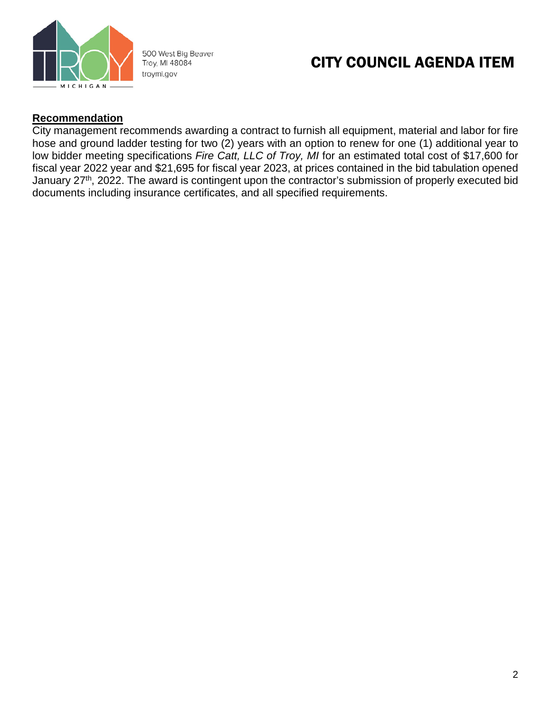

500 West Big Beaver Troy, MI 48084 troymi.gov

## CITY COUNCIL AGENDA ITEM

### **Recommendation**

City management recommends awarding a contract to furnish all equipment, material and labor for fire hose and ground ladder testing for two (2) years with an option to renew for one (1) additional year to low bidder meeting specifications *Fire Catt, LLC of Troy, MI* for an estimated total cost of \$17,600 for fiscal year 2022 year and \$21,695 for fiscal year 2023, at prices contained in the bid tabulation opened January 27<sup>th</sup>, 2022. The award is contingent upon the contractor's submission of properly executed bid documents including insurance certificates, and all specified requirements.